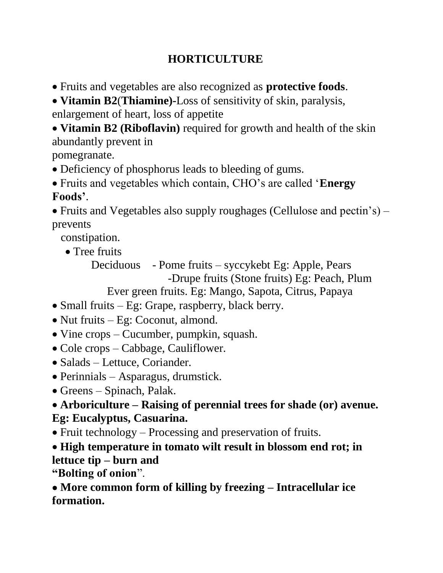## **HORTICULTURE**

• Fruits and vegetables are also recognized as **protective foods**.

• **Vitamin B2**(**Thiamine)-**Loss of sensitivity of skin, paralysis, enlargement of heart, loss of appetite

• **Vitamin B2 (Riboflavin)** required for growth and health of the skin abundantly prevent in

pomegranate.

- Deficiency of phosphorus leads to bleeding of gums.
- Fruits and vegetables which contain, CHO's are called '**Energy Foods'**.

• Fruits and Vegetables also supply roughages (Cellulose and pectin's) – prevents

constipation.

• Tree fruits

Deciduous - Pome fruits – syccykebt Eg: Apple, Pears -Drupe fruits (Stone fruits) Eg: Peach, Plum

Ever green fruits. Eg: Mango, Sapota, Citrus, Papaya

- Small fruits Eg: Grape, raspberry, black berry.
- Nut fruits Eg: Coconut, almond.
- Vine crops Cucumber, pumpkin, squash.
- Cole crops Cabbage, Cauliflower.
- Salads Lettuce, Coriander.
- Perinnials Asparagus, drumstick.
- Greens Spinach, Palak.

### • **Arboriculture – Raising of perennial trees for shade (or) avenue. Eg: Eucalyptus, Casuarina.**

• Fruit technology – Processing and preservation of fruits.

• **High temperature in tomato wilt result in blossom end rot; in lettuce tip – burn and**

**"Bolting of onion**".

•**More common form of killing by freezing – Intracellular ice formation.**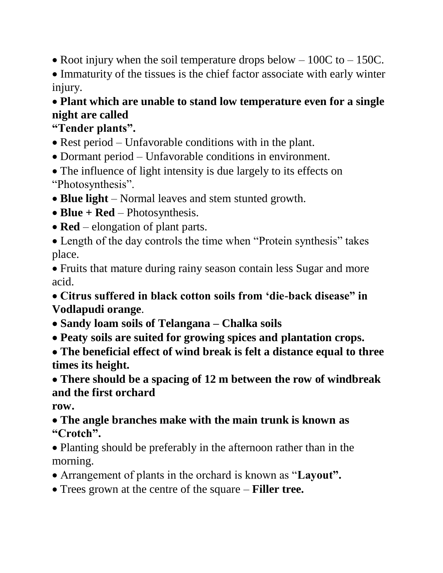• Root injury when the soil temperature drops below  $-100C$  to  $-150C$ .

• Immaturity of the tissues is the chief factor associate with early winter injury.

# • **Plant which are unable to stand low temperature even for a single night are called**

# **"Tender plants".**

- Rest period Unfavorable conditions with in the plant.
- Dormant period Unfavorable conditions in environment.
- The influence of light intensity is due largely to its effects on "Photosynthesis".
- **Blue light** Normal leaves and stem stunted growth.
- **Blue + Red** Photosynthesis.
- **Red** elongation of plant parts.
- Length of the day controls the time when "Protein synthesis" takes place.

• Fruits that mature during rainy season contain less Sugar and more acid.

• **Citrus suffered in black cotton soils from 'die-back disease" in Vodlapudi orange**.

- •**Sandy loam soils of Telangana – Chalka soils**
- •**Peaty soils are suited for growing spices and plantation crops.**
- •**The beneficial effect of wind break is felt a distance equal to three times its height.**

•**There should be a spacing of 12 m between the row of windbreak and the first orchard**

**row.**

- •**The angle branches make with the main trunk is known as "Crotch".**
- Planting should be preferably in the afternoon rather than in the morning.
- Arrangement of plants in the orchard is known as "**Layout".**
- Trees grown at the centre of the square **Filler tree.**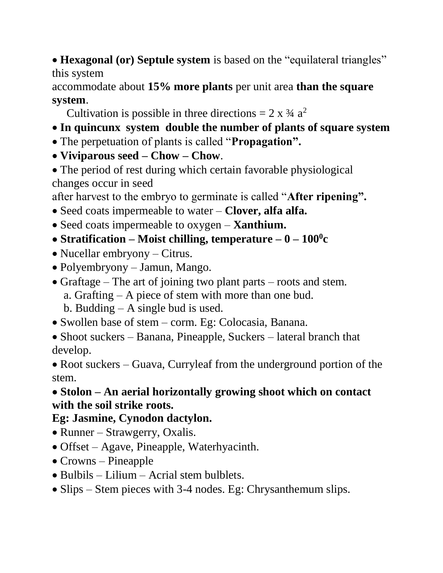• **Hexagonal (or) Septule system** is based on the "equilateral triangles" this system

accommodate about **15% more plants** per unit area **than the square system**.

Cultivation is possible in three directions =  $2 \times 3/4$  a<sup>2</sup>

- **In quincunx system double the number of plants of square system**
- The perpetuation of plants is called "**Propagation".**
- **Viviparous seed – Chow – Chow**.
- The period of rest during which certain favorable physiological changes occur in seed

after harvest to the embryo to germinate is called "**After ripening".**

- Seed coats impermeable to water **Clover, alfa alfa.**
- Seed coats impermeable to oxygen **Xanthium.**
- •**Stratification – Moist chilling, temperature – 0 – 100<sup>0</sup> c**
- Nucellar embryony Citrus.
- Polyembryony Jamun, Mango.
- Graftage The art of joining two plant parts roots and stem.
	- a. Grafting A piece of stem with more than one bud.
	- b. Budding A single bud is used.
- Swollen base of stem corm. Eg: Colocasia, Banana.
- Shoot suckers Banana, Pineapple, Suckers lateral branch that develop.

• Root suckers – Guava, Curryleaf from the underground portion of the stem.

### •**Stolon – An aerial horizontally growing shoot which on contact with the soil strike roots.**

### **Eg: Jasmine, Cynodon dactylon.**

- Runner Strawgerry, Oxalis.
- Offset Agave, Pineapple, Waterhyacinth.
- Crowns Pineapple
- Bulbils Lilium Acrial stem bulblets.
- Slips Stem pieces with 3-4 nodes. Eg: Chrysanthemum slips.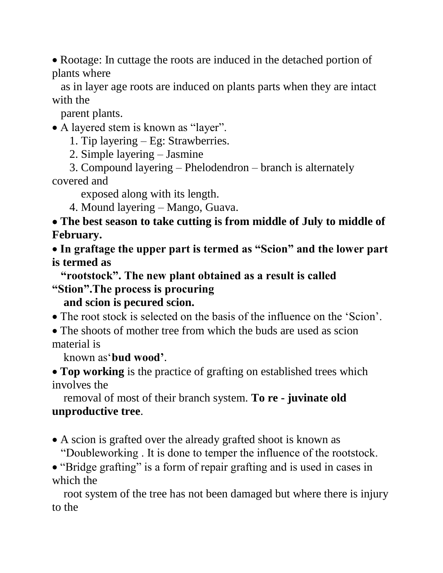• Rootage: In cuttage the roots are induced in the detached portion of plants where

 as in layer age roots are induced on plants parts when they are intact with the

parent plants.

• A layered stem is known as "layer".

1. Tip layering – Eg: Strawberries.

2. Simple layering – Jasmine

 3. Compound layering – Phelodendron – branch is alternately covered and

exposed along with its length.

4. Mound layering – Mango, Guava.

•**The best season to take cutting is from middle of July to middle of February.**

• **In graftage the upper part is termed as "Scion" and the lower part is termed as** 

 **"rootstock". The new plant obtained as a result is called "Stion".The process is procuring** 

 **and scion is pecured scion.**

• The root stock is selected on the basis of the influence on the 'Scion'.

• The shoots of mother tree from which the buds are used as scion material is

known as'**bud wood'**.

• **Top working** is the practice of grafting on established trees which involves the

 removal of most of their branch system. **To re - juvinate old unproductive tree**.

• A scion is grafted over the already grafted shoot is known as "Doubleworking . It is done to temper the influence of the rootstock.

• "Bridge grafting" is a form of repair grafting and is used in cases in which the

 root system of the tree has not been damaged but where there is injury to the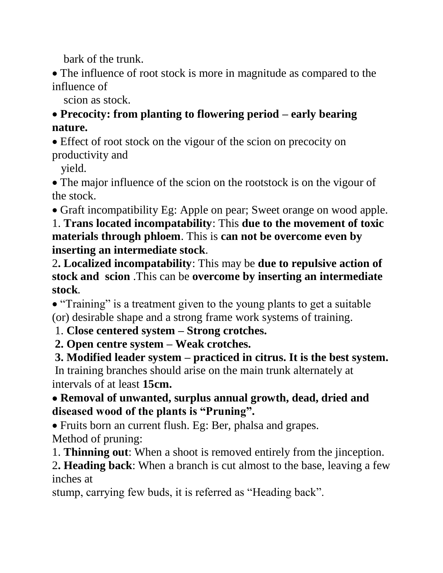bark of the trunk.

• The influence of root stock is more in magnitude as compared to the influence of

scion as stock.

•**Precocity: from planting to flowering period – early bearing nature.**

• Effect of root stock on the vigour of the scion on precocity on productivity and

yield.

• The major influence of the scion on the rootstock is on the vigour of the stock.

• Graft incompatibility Eg: Apple on pear; Sweet orange on wood apple.

1. **Trans located incompatability**: This **due to the movement of toxic materials through phloem**. This is **can not be overcome even by inserting an intermediate stock**.

2**. Localized incompatability**: This may be **due to repulsive action of stock and scion** .This can be **overcome by inserting an intermediate stock**.

• "Training" is a treatment given to the young plants to get a suitable (or) desirable shape and a strong frame work systems of training.

1. **Close centered system – Strong crotches.**

**2. Open centre system – Weak crotches.**

**3. Modified leader system – practiced in citrus. It is the best system.** In training branches should arise on the main trunk alternately at intervals of at least **15cm.**

### •**Removal of unwanted, surplus annual growth, dead, dried and diseased wood of the plants is "Pruning".**

• Fruits born an current flush. Eg: Ber, phalsa and grapes. Method of pruning:

1. **Thinning out**: When a shoot is removed entirely from the jinception.

2**. Heading back**: When a branch is cut almost to the base, leaving a few inches at

stump, carrying few buds, it is referred as "Heading back".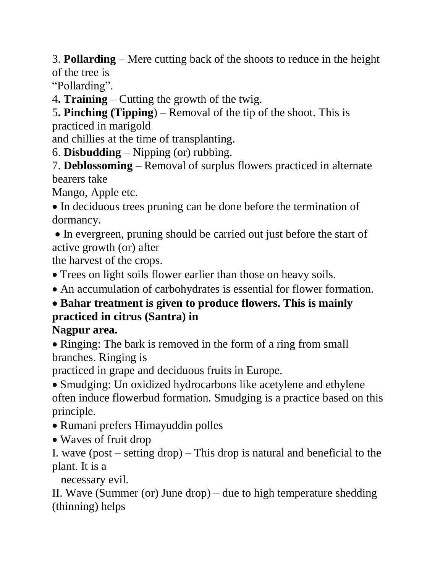3. **Pollarding** – Mere cutting back of the shoots to reduce in the height of the tree is

"Pollarding".

4**. Training** – Cutting the growth of the twig.

5**. Pinching (Tipping**) – Removal of the tip of the shoot. This is practiced in marigold

and chillies at the time of transplanting.

6. **Disbudding** – Nipping (or) rubbing.

7. **Deblossoming** – Removal of surplus flowers practiced in alternate bearers take

Mango, Apple etc.

• In deciduous trees pruning can be done before the termination of dormancy.

• In evergreen, pruning should be carried out just before the start of active growth (or) after

the harvest of the crops.

• Trees on light soils flower earlier than those on heavy soils.

• An accumulation of carbohydrates is essential for flower formation.

# •**Bahar treatment is given to produce flowers. This is mainly practiced in citrus (Santra) in**

# **Nagpur area.**

• Ringing: The bark is removed in the form of a ring from small branches. Ringing is

practiced in grape and deciduous fruits in Europe.

• Smudging: Un oxidized hydrocarbons like acetylene and ethylene often induce flowerbud formation. Smudging is a practice based on this principle.

- Rumani prefers Himayuddin polles
- Waves of fruit drop

I. wave (post – setting drop) – This drop is natural and beneficial to the plant. It is a

necessary evil.

II. Wave (Summer (or) June drop) – due to high temperature shedding (thinning) helps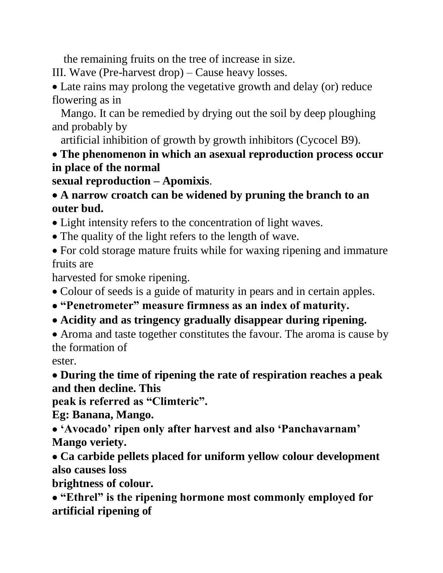the remaining fruits on the tree of increase in size.

III. Wave (Pre-harvest drop) – Cause heavy losses.

• Late rains may prolong the vegetative growth and delay (or) reduce flowering as in

 Mango. It can be remedied by drying out the soil by deep ploughing and probably by

artificial inhibition of growth by growth inhibitors (Cycocel B9).

#### • **The phenomenon in which an asexual reproduction process occur in place of the normal**

**sexual reproduction – Apomixis**.

#### •**A narrow croatch can be widened by pruning the branch to an outer bud.**

- Light intensity refers to the concentration of light waves.
- The quality of the light refers to the length of wave.
- For cold storage mature fruits while for waxing ripening and immature fruits are

harvested for smoke ripening.

- Colour of seeds is a guide of maturity in pears and in certain apples.
- •**"Penetrometer" measure firmness as an index of maturity.**
- •**Acidity and as tringency gradually disappear during ripening.**

• Aroma and taste together constitutes the favour. The aroma is cause by the formation of

ester.

•**During the time of ripening the rate of respiration reaches a peak and then decline. This**

**peak is referred as "Climteric".**

**Eg: Banana, Mango.**

•**'Avocado' ripen only after harvest and also 'Panchavarnam' Mango veriety.**

•**Ca carbide pellets placed for uniform yellow colour development also causes loss**

**brightness of colour.**

•**"Ethrel" is the ripening hormone most commonly employed for artificial ripening of**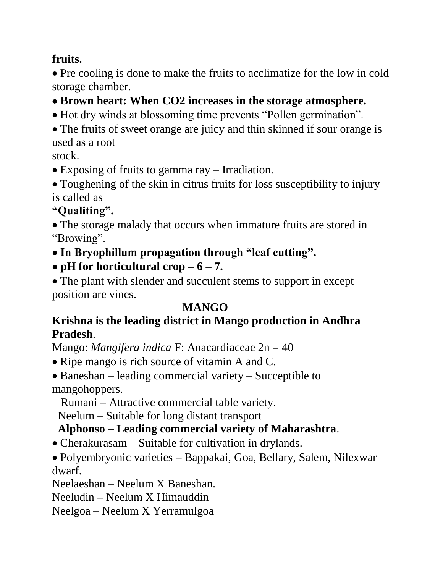#### **fruits.**

• Pre cooling is done to make the fruits to acclimatize for the low in cold storage chamber.

- •**Brown heart: When CO2 increases in the storage atmosphere.**
- Hot dry winds at blossoming time prevents "Pollen germination".
- The fruits of sweet orange are juicy and thin skinned if sour orange is used as a root

stock.

- Exposing of fruits to gamma ray Irradiation.
- Toughening of the skin in citrus fruits for loss susceptibility to injury is called as

# **"Qualiting".**

- The storage malady that occurs when immature fruits are stored in "Browing".
- •**In Bryophillum propagation through "leaf cutting".**
- **pH** for horticultural crop  $-6 7$ .

• The plant with slender and succulent stems to support in except position are vines.

# **MANGO**

#### **Krishna is the leading district in Mango production in Andhra Pradesh**.

Mango: *Mangifera indica* F: Anacardiaceae 2n = 40

- Ripe mango is rich source of vitamin A and C.
- Baneshan leading commercial variety Succeptible to mangohoppers.

Rumani – Attractive commercial table variety.

Neelum – Suitable for long distant transport

# **Alphonso – Leading commercial variety of Maharashtra**.

• Cherakurasam – Suitable for cultivation in drylands.

• Polyembryonic varieties – Bappakai, Goa, Bellary, Salem, Nilexwar dwarf.

Neelaeshan – Neelum X Baneshan.

Neeludin – Neelum X Himauddin

Neelgoa – Neelum X Yerramulgoa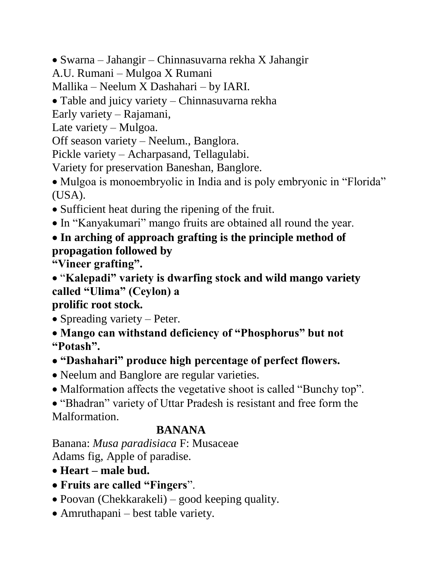• Swarna – Jahangir – Chinnasuvarna rekha X Jahangir

A.U. Rumani – Mulgoa X Rumani

Mallika – Neelum X Dashahari – by IARI.

• Table and juicy variety – Chinnasuvarna rekha

Early variety – Rajamani,

Late variety – Mulgoa.

Off season variety – Neelum., Banglora.

Pickle variety – Acharpasand, Tellagulabi.

Variety for preservation Baneshan, Banglore.

• Mulgoa is monoembryolic in India and is poly embryonic in "Florida" (USA).

- Sufficient heat during the ripening of the fruit.
- In "Kanyakumari" mango fruits are obtained all round the year.
- •**In arching of approach grafting is the principle method of propagation followed by**

**"Vineer grafting".**

• "**Kalepadi" variety is dwarfing stock and wild mango variety called "Ulima" (Ceylon) a**

### **prolific root stock.**

• Spreading variety – Peter.

• **Mango can withstand deficiency of "Phosphorus" but not "Potash".**

•**"Dashahari" produce high percentage of perfect flowers.**

• Neelum and Banglore are regular varieties.

• Malformation affects the vegetative shoot is called "Bunchy top".

• "Bhadran" variety of Uttar Pradesh is resistant and free form the Malformation.

# **BANANA**

Banana: *Musa paradisiaca* F: Musaceae Adams fig, Apple of paradise.

- **Heart – male bud.**
- •**Fruits are called "Fingers**".
- Poovan (Chekkarakeli) good keeping quality.
- Amruthapani best table variety.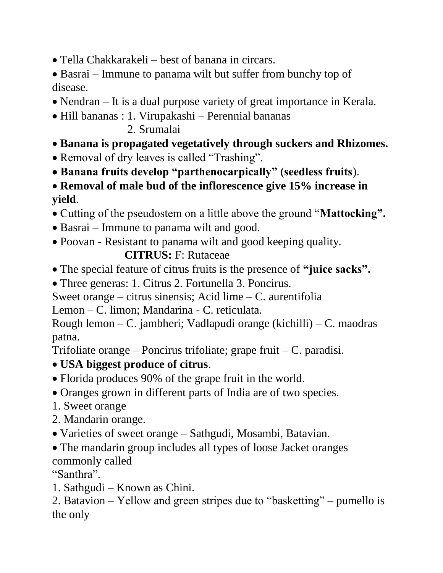- Tella Chakkarakeli best of banana in circars.
- Basrai Immune to panama wilt but suffer from bunchy top of disease.
- Nendran It is a dual purpose variety of great importance in Kerala.
- Hill bananas : 1. Virupakashi Perennial bananas
	- 2. Srumalai
- **Banana is propagated vegetatively through suckers and Rhizomes.**
- Removal of dry leaves is called "Trashing".
- •**Banana fruits develop "parthenocarpically" (seedless fruits**).
- **Removal of male bud of the inflorescence give 15% increase in yield**.
- Cutting of the pseudostem on a little above the ground "**Mattocking".**
- Basrai Immune to panama wilt and good.
- Poovan Resistant to panama wilt and good keeping quality.

### **CITRUS:** F: Rutaceae

- The special feature of citrus fruits is the presence of **"juice sacks".**
- Three generas: 1. Citrus 2. Fortunella 3. Poncirus.
- Sweet orange citrus sinensis; Acid lime C. aurentifolia

Lemon – C. limon; Mandarina - C. reticulata.

Rough lemon – C. jambheri; Vadlapudi orange (kichilli) – C. maodras patna.

Trifoliate orange – Poncirus trifoliate; grape fruit – C. paradisi.

- **USA biggest produce of citrus**.
- Florida produces 90% of the grape fruit in the world.
- Oranges grown in different parts of India are of two species.
- 1. Sweet orange
- 2. Mandarin orange.
- Varieties of sweet orange Sathgudi, Mosambi, Batavian.
- The mandarin group includes all types of loose Jacket oranges commonly called

"Santhra".

1. Sathgudi – Known as Chini.

<sup>2.</sup> Batavion – Yellow and green stripes due to "basketting" – pumello is the only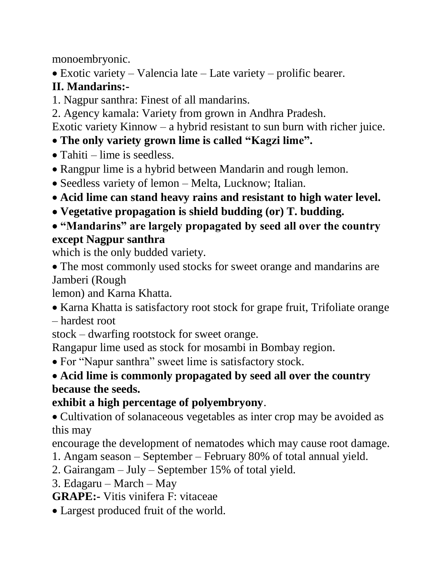monoembryonic.

• Exotic variety – Valencia late – Late variety – prolific bearer.

# **II. Mandarins:-**

- 1. Nagpur santhra: Finest of all mandarins.
- 2. Agency kamala: Variety from grown in Andhra Pradesh.

Exotic variety Kinnow – a hybrid resistant to sun burn with richer juice.

- **The only variety grown lime is called "Kagzi lime".**
- Tahiti lime is seedless.
- Rangpur lime is a hybrid between Mandarin and rough lemon.
- Seedless variety of lemon Melta, Lucknow; Italian.
- **Acid lime can stand heavy rains and resistant to high water level.**
- •**Vegetative propagation is shield budding (or) T. budding.**

### •**"Mandarins" are largely propagated by seed all over the country except Nagpur santhra**

which is the only budded variety.

• The most commonly used stocks for sweet orange and mandarins are Jamberi (Rough

lemon) and Karna Khatta.

- Karna Khatta is satisfactory root stock for grape fruit, Trifoliate orange
- hardest root

stock – dwarfing rootstock for sweet orange.

Rangapur lime used as stock for mosambi in Bombay region.

• For "Napur santhra" sweet lime is satisfactory stock.

• **Acid lime is commonly propagated by seed all over the country because the seeds.**

# **exhibit a high percentage of polyembryony**.

• Cultivation of solanaceous vegetables as inter crop may be avoided as this may

encourage the development of nematodes which may cause root damage.

- 1. Angam season September February 80% of total annual yield.
- 2. Gairangam July September 15% of total yield.
- 3. Edagaru March May

**GRAPE:-** Vitis vinifera F: vitaceae

• Largest produced fruit of the world.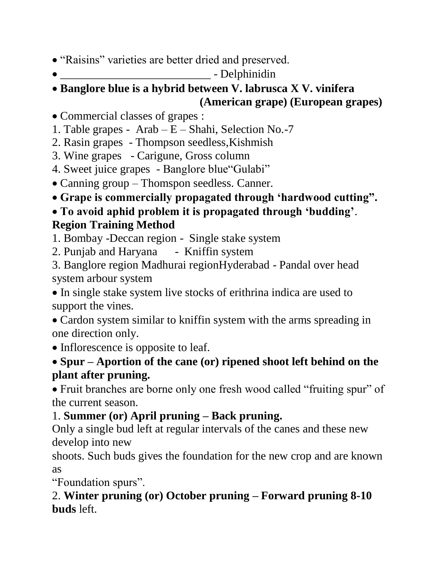- "Raisins" varieties are better dried and preserved.
- $\bullet$  Delphinidin

### • **Banglore blue is a hybrid between V. labrusca X V. vinifera (American grape) (European grapes)**

- Commercial classes of grapes :
- 1. Table grapes Arab E Shahi, Selection No.-7
- 2. Rasin grapes Thompson seedless,Kishmish
- 3. Wine grapes Carigune, Gross column
- 4. Sweet juice grapes Banglore blue"Gulabi"
- Canning group Thomspon seedless. Canner.
- **Grape is commercially propagated through 'hardwood cutting".**

# • **To avoid aphid problem it is propagated through 'budding'**. **Region Training Method**

- 1. Bombay -Deccan region Single stake system
- 2. Punjab and Haryana Kniffin system
- 3. Banglore region Madhurai regionHyderabad Pandal over head system arbour system

• In single stake system live stocks of erithrina indica are used to support the vines.

• Cardon system similar to kniffin system with the arms spreading in one direction only.

• Inflorescence is opposite to leaf.

# • **Spur – Aportion of the cane (or) ripened shoot left behind on the plant after pruning.**

• Fruit branches are borne only one fresh wood called "fruiting spur" of the current season.

# 1. **Summer (or) April pruning – Back pruning.**

Only a single bud left at regular intervals of the canes and these new develop into new

shoots. Such buds gives the foundation for the new crop and are known as

"Foundation spurs".

## 2. **Winter pruning (or) October pruning – Forward pruning 8-10 buds** left.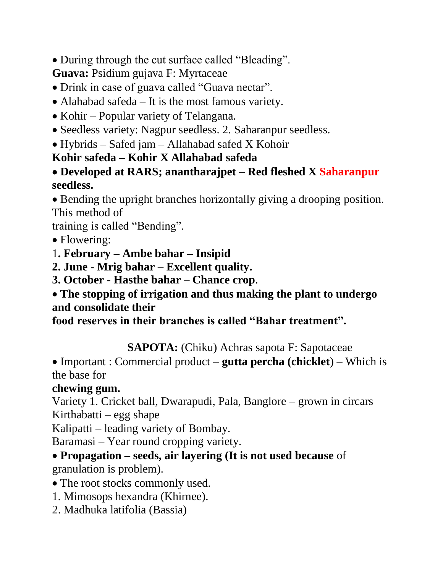• During through the cut surface called "Bleading".

**Guava:** Psidium gujava F: Myrtaceae

- Drink in case of guava called "Guava nectar".
- Alahabad safeda It is the most famous variety.
- Kohir Popular variety of Telangana.
- Seedless variety: Nagpur seedless. 2. Saharanpur seedless.
- Hybrids Safed jam Allahabad safed X Kohoir

## **Kohir safeda – Kohir X Allahabad safeda**

### •**Developed at RARS; anantharajpet – Red fleshed X Saharanpur seedless.**

• Bending the upright branches horizontally giving a drooping position. This method of

training is called "Bending".

- Flowering:
- 1**. February – Ambe bahar – Insipid**
- **2. June - Mrig bahar – Excellent quality.**
- **3. October - Hasthe bahar – Chance crop**.

### • **The stopping of irrigation and thus making the plant to undergo and consolidate their**

**food reserves in their branches is called "Bahar treatment".**

# **SAPOTA:** (Chiku) Achras sapota F: Sapotaceae

• Important : Commercial product – **gutta percha (chicklet**) – Which is the base for

# **chewing gum.**

Variety 1. Cricket ball, Dwarapudi, Pala, Banglore – grown in circars Kirthabatti – egg shape

Kalipatti – leading variety of Bombay.

Baramasi – Year round cropping variety.

#### •**Propagation – seeds, air layering (It is not used because** of granulation is problem).

- The root stocks commonly used.
- 1. Mimosops hexandra (Khirnee).
- 2. Madhuka latifolia (Bassia)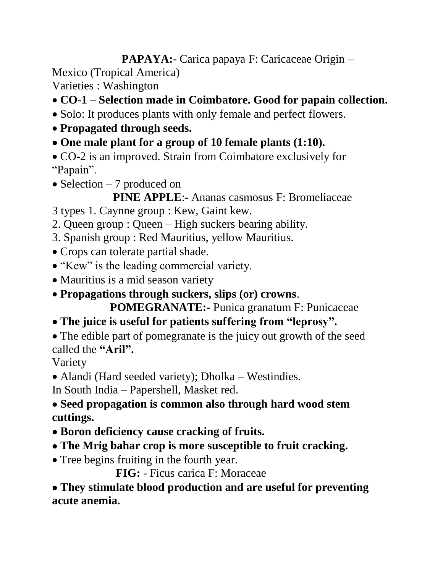**PAPAYA:-** Carica papaya F: Caricaceae Origin –

Mexico (Tropical America)

Varieties : Washington

- **CO-1 – Selection made in Coimbatore. Good for papain collection.**
- Solo: It produces plants with only female and perfect flowers.
- **Propagated through seeds.**
- •**One male plant for a group of 10 female plants (1:10).**
- CO-2 is an improved. Strain from Coimbatore exclusively for "Papain".
- Selection 7 produced on
	- **PINE APPLE**:- Ananas casmosus F: Bromeliaceae
- 3 types 1. Caynne group : Kew, Gaint kew.
- 2. Queen group : Queen High suckers bearing ability.
- 3. Spanish group : Red Mauritius, yellow Mauritius.
- Crops can tolerate partial shade.
- "Kew" is the leading commercial variety.
- Mauritius is a mid season variety
- **Propagations through suckers, slips (or) crowns**.

 **POMEGRANATE:-** Punica granatum F: Punicaceae

- •**The juice is useful for patients suffering from "leprosy".**
- The edible part of pomegranate is the juicy out growth of the seed called the **"Aril".**

Variety

• Alandi (Hard seeded variety); Dholka – Westindies.

In South India – Papershell, Masket red.

#### •**Seed propagation is common also through hard wood stem cuttings.**

- •**Boron deficiency cause cracking of fruits.**
- •**The Mrig bahar crop is more susceptible to fruit cracking.**
- Tree begins fruiting in the fourth year.

 **FIG:** - Ficus carica F: Moraceae

•**They stimulate blood production and are useful for preventing acute anemia.**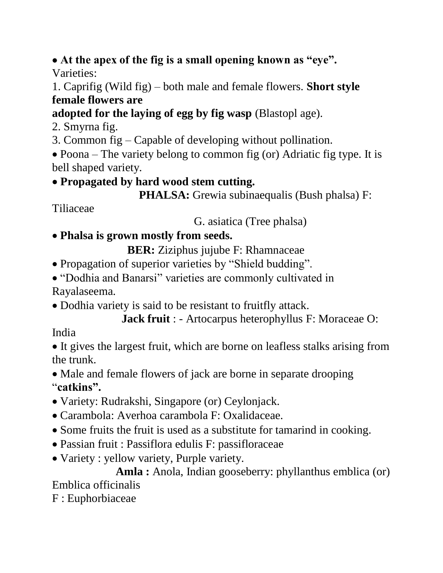#### •**At the apex of the fig is a small opening known as "eye".** Varieties:

#### 1. Caprifig (Wild fig) – both male and female flowers. **Short style female flowers are**

# **adopted for the laying of egg by fig wasp** (Blastopl age).

- 2. Smyrna fig.
- 3. Common fig Capable of developing without pollination.

• Poona – The variety belong to common fig (or) Adriatic fig type. It is bell shaped variety.

### •**Propagated by hard wood stem cutting.**

```
 PHALSA: Grewia subinaequalis (Bush phalsa) F:
```
Tiliaceae

G. asiatica (Tree phalsa)

# • **Phalsa is grown mostly from seeds.**

**BER:** Ziziphus jujube F: Rhamnaceae

- Propagation of superior varieties by "Shield budding".
- "Dodhia and Banarsi" varieties are commonly cultivated in Rayalaseema.
- Dodhia variety is said to be resistant to fruitfly attack.

```
 Jack fruit : - Artocarpus heterophyllus F: Moraceae O:
```
# India

• It gives the largest fruit, which are borne on leafless stalks arising from the trunk.

• Male and female flowers of jack are borne in separate drooping "**catkins".**

- Variety: Rudrakshi, Singapore (or) Ceylonjack.
- Carambola: Averhoa carambola F: Oxalidaceae.
- Some fruits the fruit is used as a substitute for tamarind in cooking.
- Passian fruit : Passiflora edulis F: passifloraceae
- Variety : yellow variety, Purple variety.

Amla : Anola, Indian gooseberry: phyllanthus emblica (or) Emblica officinalis

F : Euphorbiaceae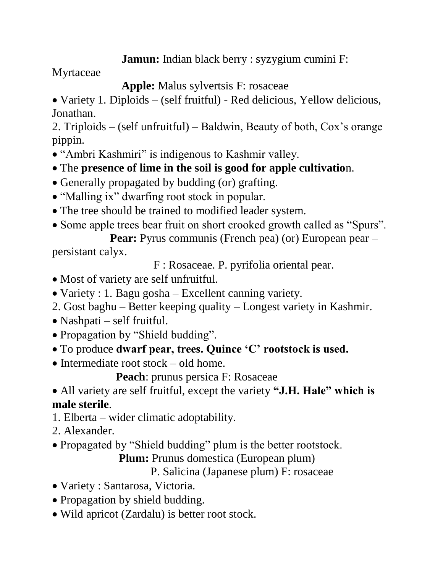#### **Jamun:** Indian black berry : syzygium cumini F:

Myrtaceae

 **Apple:** Malus sylvertsis F: rosaceae

• Variety 1. Diploids – (self fruitful) - Red delicious, Yellow delicious, Jonathan.

2. Triploids – (self unfruitful) – Baldwin, Beauty of both, Cox's orange pippin.

- "Ambri Kashmiri" is indigenous to Kashmir valley.
- The **presence of lime in the soil is good for apple cultivatio**n.
- Generally propagated by budding (or) grafting.
- "Malling ix" dwarfing root stock in popular.
- The tree should be trained to modified leader system.
- Some apple trees bear fruit on short crooked growth called as "Spurs".

**Pear:** Pyrus communis (French pea) (or) European pear – persistant calyx.

F : Rosaceae. P. pyrifolia oriental pear.

- Most of variety are self unfruitful.
- Variety : 1. Bagu gosha Excellent canning variety.
- 2. Gost baghu Better keeping quality Longest variety in Kashmir.
- Nashpati self fruitful.
- Propagation by "Shield budding".
- To produce **dwarf pear, trees. Quince 'C' rootstock is used.**
- Intermediate root stock old home.

 **Peach**: prunus persica F: Rosaceae

• All variety are self fruitful, except the variety **"J.H. Hale" which is male sterile**.

- 1. Elberta wider climatic adoptability.
- 2. Alexander.
- Propagated by "Shield budding" plum is the better rootstock.

**Plum:** Prunus domestica (European plum)

P. Salicina (Japanese plum) F: rosaceae

- Variety : Santarosa, Victoria.
- Propagation by shield budding.
- Wild apricot (Zardalu) is better root stock.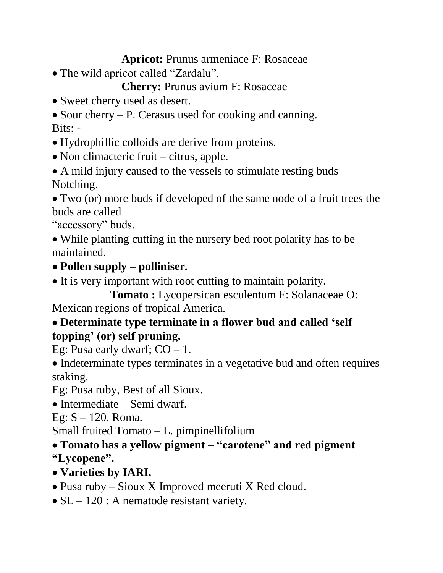#### **Apricot:** Prunus armeniace F: Rosaceae

• The wild apricot called "Zardalu".

 **Cherry:** Prunus avium F: Rosaceae

• Sweet cherry used as desert.

• Sour cherry – P. Cerasus used for cooking and canning. Bits: -

• Hydrophillic colloids are derive from proteins.

• Non climacteric fruit – citrus, apple.

• A mild injury caused to the vessels to stimulate resting buds – Notching.

• Two (or) more buds if developed of the same node of a fruit trees the buds are called

"accessory" buds.

• While planting cutting in the nursery bed root polarity has to be maintained.

- •**Pollen supply – polliniser.**
- It is very important with root cutting to maintain polarity.

**Tomato :** Lycopersican esculentum F: Solanaceae O: Mexican regions of tropical America.

### •**Determinate type terminate in a flower bud and called 'self topping' (or) self pruning.**

Eg: Pusa early dwarf;  $CO - 1$ .

• Indeterminate types terminates in a vegetative bud and often requires staking.

Eg: Pusa ruby, Best of all Sioux.

• Intermediate – Semi dwarf.

Eg:  $S - 120$ , Roma.

Small fruited Tomato – L. pimpinellifolium

•**Tomato has a yellow pigment – "carotene" and red pigment "Lycopene".**

- •**Varieties by IARI.**
- Pusa ruby Sioux X Improved meeruti X Red cloud.
- SL 120 : A nematode resistant variety.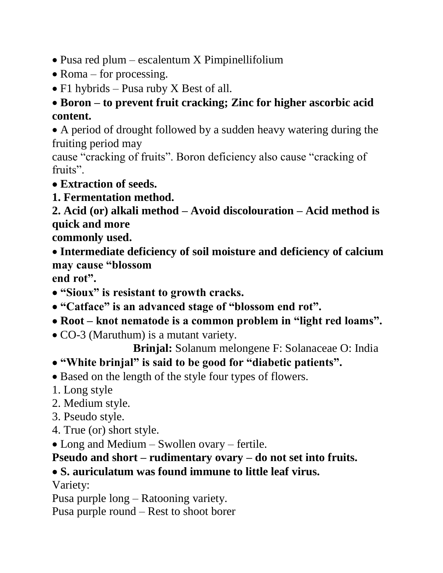- Pusa red plum escalentum X Pimpinellifolium
- Roma for processing.
- F1 hybrids Pusa ruby X Best of all.

### •**Boron – to prevent fruit cracking; Zinc for higher ascorbic acid content.**

• A period of drought followed by a sudden heavy watering during the fruiting period may

cause "cracking of fruits". Boron deficiency also cause "cracking of fruits".

- •**Extraction of seeds.**
- **1. Fermentation method.**

**2. Acid (or) alkali method – Avoid discolouration – Acid method is quick and more**

**commonly used.**

• **Intermediate deficiency of soil moisture and deficiency of calcium may cause "blossom**

**end rot".**

- •**"Sioux" is resistant to growth cracks.**
- •**"Catface" is an advanced stage of "blossom end rot".**
- •**Root – knot nematode is a common problem in "light red loams".**
- CO-3 (Maruthum) is a mutant variety.

 **Brinjal:** Solanum melongene F: Solanaceae O: India

- •**"White brinjal" is said to be good for "diabetic patients".**
- Based on the length of the style four types of flowers.
- 1. Long style
- 2. Medium style.
- 3. Pseudo style.
- 4. True (or) short style.
- Long and Medium Swollen ovary fertile.

**Pseudo and short – rudimentary ovary – do not set into fruits.**

# •**S. auriculatum was found immune to little leaf virus.**

Variety:

Pusa purple long – Ratooning variety.

Pusa purple round – Rest to shoot borer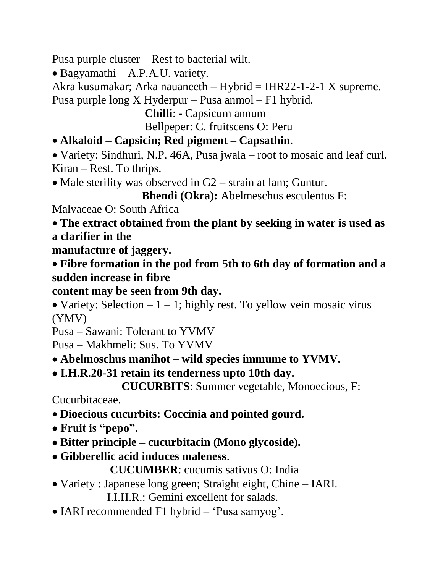Pusa purple cluster – Rest to bacterial wilt.

• Bagyamathi – A.P.A.U. variety.

Akra kusumakar; Arka nauaneeth – Hybrid = IHR22-1-2-1 X supreme.

Pusa purple long X Hyderpur – Pusa anmol – F1 hybrid.

 **Chilli**: - Capsicum annum Bellpeper: C. fruitscens O: Peru

# • **Alkaloid – Capsicin; Red pigment – Capsathin**.

• Variety: Sindhuri, N.P. 46A, Pusa jwala – root to mosaic and leaf curl. Kiran – Rest. To thrips.

• Male sterility was observed in G2 – strain at lam; Guntur.

 **Bhendi (Okra):** Abelmeschus esculentus F:

Malvaceae O: South Africa

• **The extract obtained from the plant by seeking in water is used as a clarifier in the**

**manufacture of jaggery.**

• **Fibre formation in the pod from 5th to 6th day of formation and a sudden increase in fibre**

# **content may be seen from 9th day.**

• Variety: Selection  $-1 - 1$ ; highly rest. To yellow vein mosaic virus (YMV)

Pusa – Sawani: Tolerant to YVMV

Pusa – Makhmeli: Sus. To YVMV

- •**Abelmoschus manihot – wild species immume to YVMV.**
- •**I.H.R.20-31 retain its tenderness upto 10th day.**

 **CUCURBITS**: Summer vegetable, Monoecious, F:

Cucurbitaceae.

- **Dioecious cucurbits: Coccinia and pointed gourd.**
- •**Fruit is "pepo".**
- •**Bitter principle – cucurbitacin (Mono glycoside).**
- •**Gibberellic acid induces maleness**.

 **CUCUMBER**: cucumis sativus O: India

- Variety : Japanese long green; Straight eight, Chine IARI. I.I.H.R.: Gemini excellent for salads.
- IARI recommended F1 hybrid 'Pusa samyog'.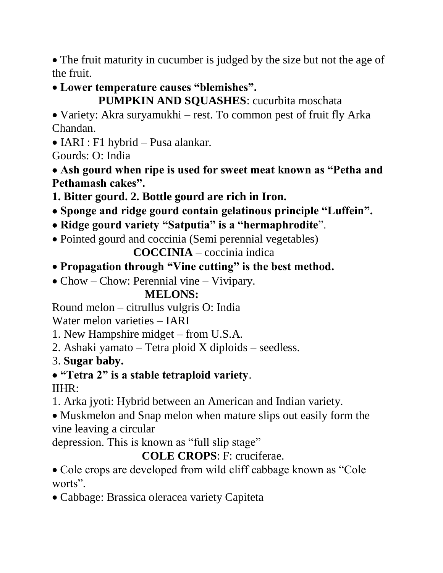• The fruit maturity in cucumber is judged by the size but not the age of the fruit.

• **Lower temperature causes "blemishes".**

 **PUMPKIN AND SQUASHES**: cucurbita moschata

• Variety: Akra suryamukhi – rest. To common pest of fruit fly Arka Chandan.

• IARI : F1 hybrid – Pusa alankar.

Gourds: O: India

•**Ash gourd when ripe is used for sweet meat known as "Petha and Pethamash cakes".**

**1. Bitter gourd. 2. Bottle gourd are rich in Iron.**

- •**Sponge and ridge gourd contain gelatinous principle "Luffein".**
- •**Ridge gourd variety "Satputia" is a "hermaphrodite**".
- Pointed gourd and coccinia (Semi perennial vegetables)

 **COCCINIA** – coccinia indica

# • **Propagation through "Vine cutting" is the best method.**

• Chow – Chow: Perennial vine – Vivipary.

# **MELONS:**

Round melon – citrullus vulgris O: India

Water melon varieties – IARI

- 1. New Hampshire midget from U.S.A.
- 2. Ashaki yamato Tetra ploid X diploids seedless.
- 3. **Sugar baby.**

# •**"Tetra 2" is a stable tetraploid variety**.

# IIHR:

- 1. Arka jyoti: Hybrid between an American and Indian variety.
- Muskmelon and Snap melon when mature slips out easily form the vine leaving a circular

depression. This is known as "full slip stage"

 **COLE CROPS**: F: cruciferae.

• Cole crops are developed from wild cliff cabbage known as "Cole worts".

• Cabbage: Brassica oleracea variety Capiteta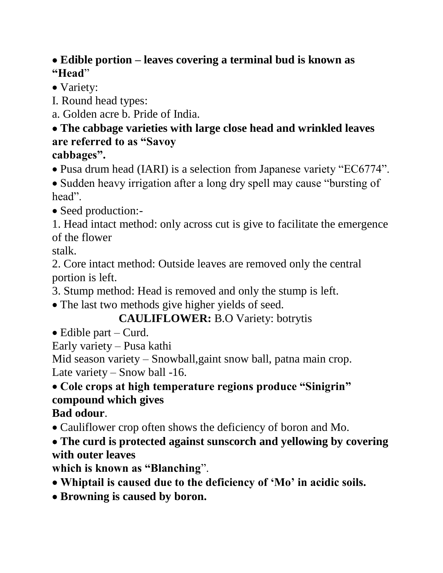#### •**Edible portion – leaves covering a terminal bud is known as "Head**"

- Variety:
- I. Round head types:
- a. Golden acre b. Pride of India.

#### •**The cabbage varieties with large close head and wrinkled leaves are referred to as "Savoy cabbages".**

• Pusa drum head (IARI) is a selection from Japanese variety "EC6774".

• Sudden heavy irrigation after a long dry spell may cause "bursting of head".

• Seed production:-

1. Head intact method: only across cut is give to facilitate the emergence of the flower

stalk.

2. Core intact method: Outside leaves are removed only the central portion is left.

3. Stump method: Head is removed and only the stump is left.

• The last two methods give higher yields of seed.

# **CAULIFLOWER:** B.O Variety: botrytis

• Edible part – Curd.

Early variety – Pusa kathi

Mid season variety – Snowball, gaint snow ball, patna main crop. Late variety – Snow ball -16.

# • **Cole crops at high temperature regions produce "Sinigrin" compound which gives**

**Bad odour**.

- Cauliflower crop often shows the deficiency of boron and Mo.
- •**The curd is protected against sunscorch and yellowing by covering with outer leaves**

**which is known as "Blanching**".

- •**Whiptail is caused due to the deficiency of 'Mo' in acidic soils.**
- •**Browning is caused by boron.**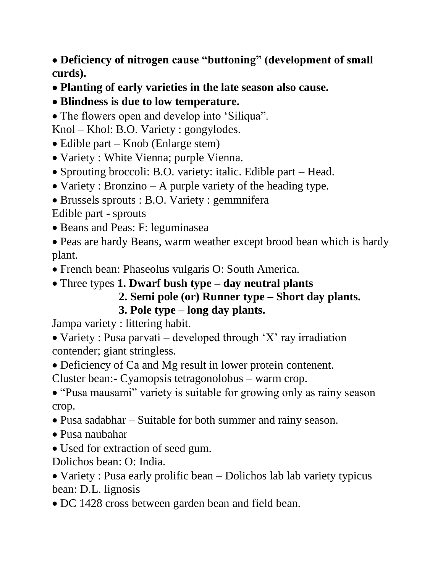•**Deficiency of nitrogen cause "buttoning" (development of small curds).**

- •**Planting of early varieties in the late season also cause.**
- •**Blindness is due to low temperature.**
- The flowers open and develop into 'Siliqua''.

Knol – Khol: B.O. Variety : gongylodes.

- Edible part Knob (Enlarge stem)
- Variety : White Vienna; purple Vienna.
- Sprouting broccoli: B.O. variety: italic. Edible part Head.
- Variety : Bronzino A purple variety of the heading type.
- Brussels sprouts : B.O. Variety : gemmnifera

Edible part - sprouts

- Beans and Peas: F: leguminasea
- Peas are hardy Beans, warm weather except brood bean which is hardy plant.
- French bean: Phaseolus vulgaris O: South America.

# • Three types **1. Dwarf bush type – day neutral plants**

 **2. Semi pole (or) Runner type – Short day plants. 3. Pole type – long day plants.**

Jampa variety : littering habit.

• Variety : Pusa parvati – developed through 'X' ray irradiation contender; giant stringless.

• Deficiency of Ca and Mg result in lower protein contenent.

Cluster bean:- Cyamopsis tetragonolobus – warm crop.

• "Pusa mausami" variety is suitable for growing only as rainy season crop.

- Pusa sadabhar Suitable for both summer and rainy season.
- Pusa naubahar
- Used for extraction of seed gum.

Dolichos bean: O: India.

• Variety : Pusa early prolific bean – Dolichos lab lab variety typicus bean: D.L. lignosis

• DC 1428 cross between garden bean and field bean.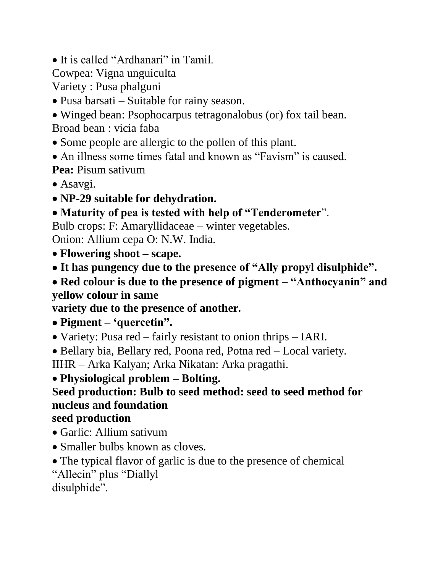• It is called "Ardhanari" in Tamil.

Cowpea: Vigna unguiculta

Variety : Pusa phalguni

- Pusa barsati Suitable for rainy season.
- Winged bean: Psophocarpus tetragonalobus (or) fox tail bean.

Broad bean : vicia faba

- Some people are allergic to the pollen of this plant.
- An illness some times fatal and known as "Favism" is caused.

**Pea:** Pisum sativum

- Asavgi.
- •**NP-29 suitable for dehydration.**

# •**Maturity of pea is tested with help of "Tenderometer**".

Bulb crops: F: Amaryllidaceae – winter vegetables.

Onion: Allium cepa O: N.W. India.

- **Flowering shoot – scape.**
- •**It has pungency due to the presence of "Ally propyl disulphide".**
- •**Red colour is due to the presence of pigment – "Anthocyanin" and yellow colour in same**

**variety due to the presence of another.**

•**Pigment – 'quercetin".**

• Variety: Pusa red – fairly resistant to onion thrips – IARI.

• Bellary bia, Bellary red, Poona red, Potna red – Local variety.

IIHR – Arka Kalyan; Arka Nikatan: Arka pragathi.

• **Physiological problem – Bolting.**

# **Seed production: Bulb to seed method: seed to seed method for nucleus and foundation**

### **seed production**

- Garlic: Allium sativum
- Smaller bulbs known as cloves.
- The typical flavor of garlic is due to the presence of chemical
- "Allecin" plus "Diallyl

disulphide".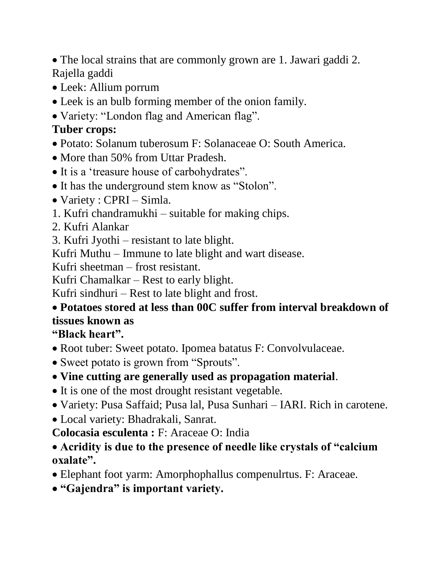• The local strains that are commonly grown are 1. Jawari gaddi 2. Rajella gaddi

- Leek: Allium porrum
- Leek is an bulb forming member of the onion family.
- Variety: "London flag and American flag".

# **Tuber crops:**

- Potato: Solanum tuberosum F: Solanaceae O: South America.
- More than 50% from Uttar Pradesh.
- It is a 'treasure house of carbohydrates".
- It has the underground stem know as "Stolon".
- Variety : CPRI Simla.
- 1. Kufri chandramukhi suitable for making chips.
- 2. Kufri Alankar
- 3. Kufri Jyothi resistant to late blight.

Kufri Muthu – Immune to late blight and wart disease.

Kufri sheetman – frost resistant.

Kufri Chamalkar – Rest to early blight.

Kufri sindhuri – Rest to late blight and frost.

# • **Potatoes stored at less than 00C suffer from interval breakdown of tissues known as**

**"Black heart".**

- Root tuber: Sweet potato. Ipomea batatus F: Convolvulaceae.
- Sweet potato is grown from "Sprouts".
- **Vine cutting are generally used as propagation material**.
- It is one of the most drought resistant vegetable.
- Variety: Pusa Saffaid; Pusa lal, Pusa Sunhari IARI. Rich in carotene.
- Local variety: Bhadrakali, Sanrat.

**Colocasia esculenta :** F: Araceae O: India

- **Acridity is due to the presence of needle like crystals of "calcium oxalate".**
- Elephant foot yarm: Amorphophallus compenulrtus. F: Araceae.
- •**"Gajendra" is important variety.**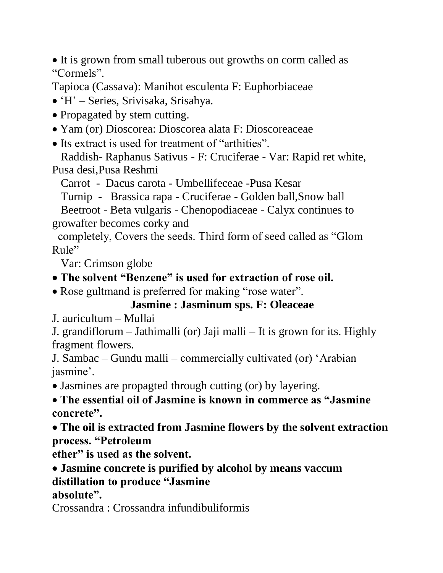• It is grown from small tuberous out growths on corm called as "Cormels".

Tapioca (Cassava): Manihot esculenta F: Euphorbiaceae

• 'H' – Series, Srivisaka, Srisahya.

• Propagated by stem cutting.

• Yam (or) Dioscorea: Dioscorea alata F: Dioscoreaceae

• Its extract is used for treatment of "arthities".

 Raddish- Raphanus Sativus - F: Cruciferae - Var: Rapid ret white, Pusa desi,Pusa Reshmi

Carrot - Dacus carota - Umbellifeceae -Pusa Kesar

Turnip - Brassica rapa - Cruciferae - Golden ball,Snow ball

 Beetroot - Beta vulgaris - Chenopodiaceae - Calyx continues to growafter becomes corky and

 completely, Covers the seeds. Third form of seed called as "Glom Rule"

Var: Crimson globe

•**The solvent "Benzene" is used for extraction of rose oil.**

• Rose gultmand is preferred for making "rose water".

# **Jasmine : Jasminum sps. F: Oleaceae**

J. auricultum – Mullai

J. grandiflorum – Jathimalli (or) Jaji malli – It is grown for its. Highly fragment flowers.

J. Sambac – Gundu malli – commercially cultivated (or) 'Arabian jasmine'.

• Jasmines are propagted through cutting (or) by layering.

• **The essential oil of Jasmine is known in commerce as "Jasmine concrete".**

•**The oil is extracted from Jasmine flowers by the solvent extraction process. "Petroleum**

**ether" is used as the solvent.**

•**Jasmine concrete is purified by alcohol by means vaccum distillation to produce "Jasmine**

**absolute".**

Crossandra : Crossandra infundibuliformis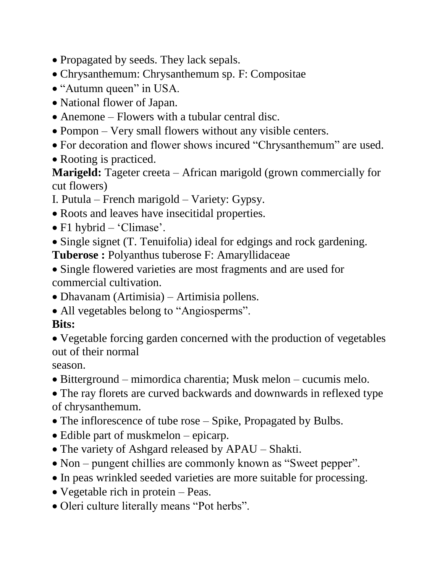- Propagated by seeds. They lack sepals.
- Chrysanthemum: Chrysanthemum sp. F: Compositae
- "Autumn queen" in USA.
- National flower of Japan.
- Anemone Flowers with a tubular central disc.
- Pompon Very small flowers without any visible centers.
- For decoration and flower shows incured "Chrysanthemum" are used.
- Rooting is practiced.

**Marigeld:** Tageter creeta – African marigold (grown commercially for cut flowers)

- I. Putula French marigold Variety: Gypsy.
- Roots and leaves have insecitidal properties.
- F1 hybrid 'Climase'.
- Single signet (T. Tenuifolia) ideal for edgings and rock gardening.

**Tuberose :** Polyanthus tuberose F: Amaryllidaceae

- Single flowered varieties are most fragments and are used for commercial cultivation.
- Dhavanam (Artimisia) Artimisia pollens.
- All vegetables belong to "Angiosperms".

# **Bits:**

• Vegetable forcing garden concerned with the production of vegetables out of their normal

season.

• Bitterground – mimordica charentia; Musk melon – cucumis melo.

• The ray florets are curved backwards and downwards in reflexed type of chrysanthemum.

- The inflorescence of tube rose Spike, Propagated by Bulbs.
- Edible part of muskmelon epicarp.
- The variety of Ashgard released by APAU Shakti.
- Non pungent chillies are commonly known as "Sweet pepper".
- In peas wrinkled seeded varieties are more suitable for processing.
- Vegetable rich in protein Peas.
- Oleri culture literally means "Pot herbs".